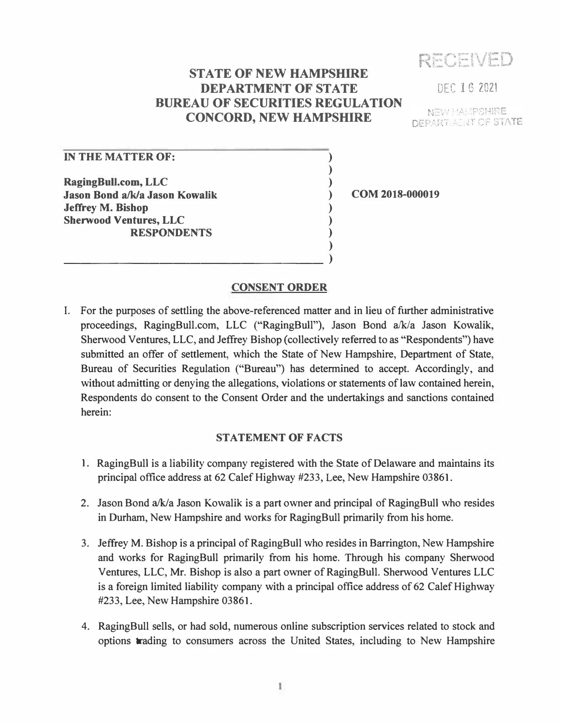RECEVED

# **STATE OF NEW HAMPSHIRE DEPARTMENT OF STATE BUREAU OF SECURITIES REGULATION CONCORD, NEW HAMPSHIRE**

**) ) ) ) ) ) ) )**  DEC 1 6 2021

**NEW MAMPSHIRE DEPARTMENT OF STATE** 

## **IN THE MATTER OF:**

**RagingBull.com, LLC Jason Bond a/k/a Jason Kowalik Jeffrey M. Bishop Sherwood Ventures, LLC RESPONDENTS** 

\_\_\_\_\_\_\_\_\_\_\_\_\_\_\_\_\_\_\_ **)** 

**COM 2018-000019** 

### **CONSENT ORDER**

I. For the purposes of settling the above-referenced matter and in lieu of further administrative proceedings, RagingBull.com, LLC ("RagingBull"), Jason Bond a/k/a Jason Kowalik, Sherwood Ventures, LLC, and Jeffrey Bishop (collectively referred to as "Respondents") have submitted an offer of settlement, which the State of New Hampshire, Department of State, Bureau of Securities Regulation ("Bureau") has determined to accept. Accordingly, and without admitting or denying the allegations, violations or statements of law contained herein, Respondents do consent to the Consent Order and the undertakings and sanctions contained herein:

#### **STATEMENT OF FACTS**

- 1. RagingBull is a liability company registered with the State of Delaware and maintains its principal office address at 62 Calef Highway #233, Lee, New Hampshire 03861.
- 2. Jason Bond a/k/a Jason Kowalik is a part owner and principal of RagingBull who resides in Durham, New Hampshire and works for RagingBull primarily from his home.
- 3. Jeffrey M. Bishop is a principal of RagingBull who resides in Barrington, New Hampshire and works for RagingBull primarily from his home. Through his company Sherwood Ventures, LLC, Mr. Bishop is also a part owner of RagingBull. Sherwood Ventures LLC is a foreign limited liability company with a principal office address of 62 Calef Highway #233, Lee, New Hampshire 03861.
- 4. RagingBull sells, or had sold, numerous online subscription services related to stock and options trading to consumers across the United States, including to New Hampshire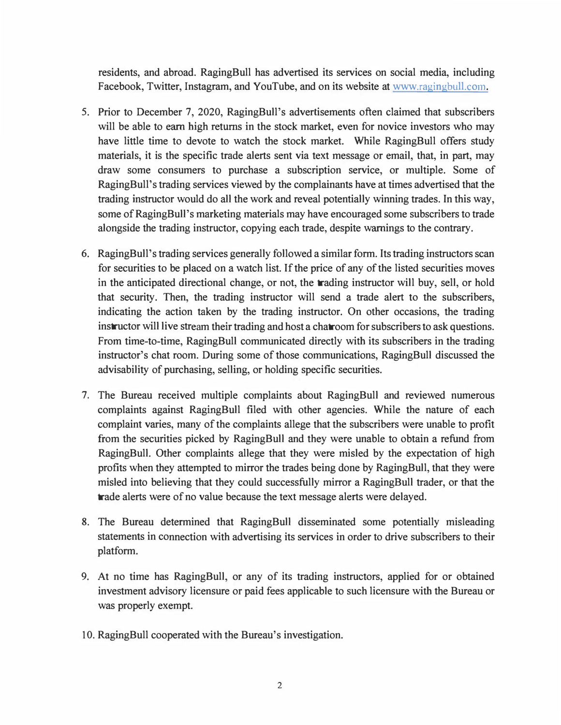residents, and abroad. RagingBull has advertised its services on social media, including Facebook, Twitter, Instagram, and YouTube, and on its website at www.ragingbull.com.

- 5. Prior to December 7, 2020, RagingBull's advertisements often claimed that subscribers will be able to earn high returns in the stock market, even for novice investors who may have little time to devote to watch the stock market. While RagingBull offers study materials, it is the specific trade alerts sent via text message or email, that, in part, may draw some consumers to purchase a subscription service, or multiple. Some of RagingBull's trading services viewed by the complainants have at times advertised that the trading instructor would do all the work and reveal potentially winning trades. In this way, some of RagingBull's marketing materials may have encouraged some subscribers to trade alongside the trading instructor, copying each trade, despite warnings to the contrary.
- 6. RagingBull's trading services generally followed a similar form. Its trading instructors scan for securities to be placed on a watch list. If the price of any of the listed securities moves in the anticipated directional change, or not, the trading instructor will buy, sell, or hold that security. Then, the trading instructor will send a trade alert to the subscribers, indicating the action taken by the trading instructor. On other occasions, the trading instructor will live stream their trading and host a chatroom for subscribers to ask questions. From time-to-time, RagingBull communicated directly with its subscribers in the trading instructor's chat room. During some of those communications, RagingBull discussed the advisability of purchasing, selling, or holding specific securities.
- 7. The Bureau received multiple complaints about RagingBull and reviewed numerous complaints against RagingBull filed with other agencies. While the nature of each complaint varies, many of the complaints allege that the subscribers were unable to profit from the securities picked by RagingBull and they were unable to obtain a refund from RagingBull. Other complaints allege that they were misled by the expectation of high profits when they attempted to mirror the trades being done by RagingBull, that they were misled into believing that they could successfully mirror a RagingBull trader, or that the trade alerts were of no value because the text message alerts were delayed.
- 8. The Bureau determined that RagingBull disseminated some potentially misleading statements in connection with advertising its services in order to drive subscribers to their platform.
- 9. At no time has RagingBull, or any of its trading instructors, applied for or obtained investment advisory licensure or paid fees applicable to such licensure with the Bureau or was properly exempt.
- 10. RagingBull cooperated with the Bureau's investigation.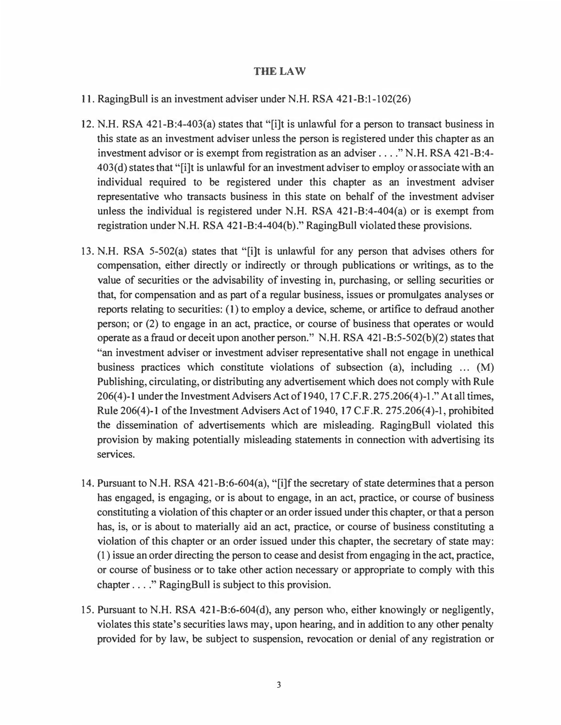#### **THE LAW**

- 11. RagingBull is an investment adviser under N.H. RSA 421-B:1-102(26)
- 12. N. H. RSA 421-B:4-403(a) states that "[i]t is unlawful for a person to transact business in this state as an investment adviser unless the person is registered under this chapter as an investment advisor or is exempt from registration as an adviser .... " N.H. RSA 421-B:4- 403(d) states that "[i]t is unlawful for an investment adviser to employ or associate with an individual required to be registered under this chapter as an investment adviser representative who transacts business in this state on behalf of the investment adviser unless the individual is registered under N.H. RSA  $421-B:4-404(a)$  or is exempt from registration under N.H. RSA 421-B:4-404(b)." RagingBull violated these provisions.
- 13. N. H. RSA 5-502(a) states that "[i]t is unlawful for any person that advises others for compensation, either directly or indirectly or through publications or writings, as to the value of securities or the advisability of investing in, purchasing, or selling securities or that, for compensation and as part of a regular business, issues or promulgates analyses or reports relating to securities: (1) to employ a device, scheme, or artifice to defraud another person; or (2) to engage in an act, practice, or course of business that operates or would operate as a fraud or deceit upon another person." N.H. RSA 421-B:5-502(b)(2) states that "an investment adviser or investment adviser representative shall not engage in unethical business practices which constitute violations of subsection (a), including  $\dots$  (M) Publishing, circulating, or distributing any advertisement which does not comply with Rule 206(4)-1 under the Investment Advisers Act of 1940, 17 C.F.R. 275.206(4)-1." At all times, Rule 206(4)-1 of the Investment Advisers Act of 1940, 17 C.F. R. 275.206(4)-1, prohibited the dissemination of advertisements which are misleading. RagingBull violated this provision by making potentially misleading statements in connection with advertising its services.
- 14. Pursuant to N.H. RSA 421-B:6-604(a), "[i]f the secretary of state determines that a person has engaged, is engaging, or is about to engage, in an act, practice, or course of business constituting a violation of this chapter or an order issued under this chapter, or that a person has, is, or is about to materially aid an act, practice, or course of business constituting a violation of this chapter or an order issued under this chapter, the secretary of state may: (1) issue an order directing the person to cease and desist from engaging in the act, practice, or course of business or to take other action necessary or appropriate to comply with this chapter .... " RagingBull is subject to this provision.
- 15. Pursuant to N. H. RSA 421-B:6-604(d), any person who, either knowingly or negligently, violates this state's securities laws may, upon hearing, and in addition to any other penalty provided for by law, be subject to suspension, revocation or denial of any registration or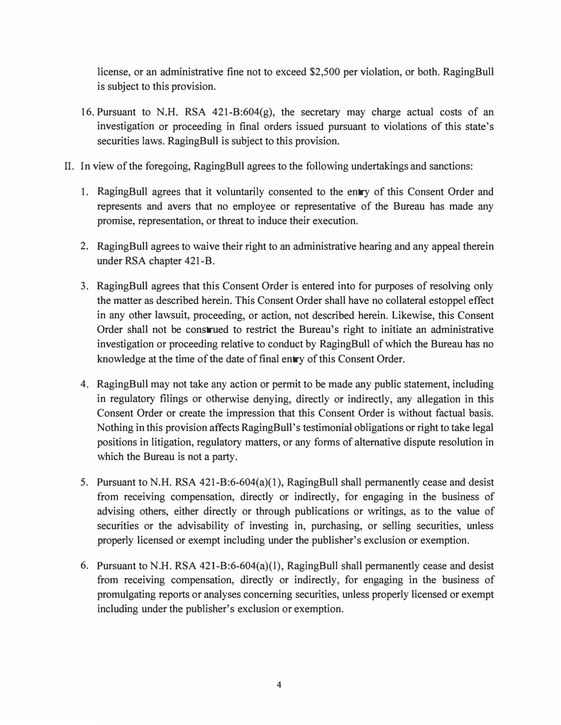license, or an administrative fine not to exceed \$2,500 per violation, or both. RagingBull is subject to this provision.

- 16. Pursuant to N.H. RSA  $421-B:604(g)$ , the secretary may charge actual costs of an investigation or proceeding in final orders issued pursuant to violations of this state's securities laws. RagingBull is subject to this provision.
- IL In view of the foregoing, RagingBull agrees to the following undertakings and sanctions:
	- 1. RagingBull agrees that it voluntarily consented to the entry of this Consent Order and represents and avers that no employee or representative of the Bureau has made any promise, representation, or threat to induce their execution.
	- 2. RagingBull agrees to waive their right to an administrative hearing and any appeal therein under RSA chapter 421-B.
	- 3. RagingBull agrees that this Consent Order is entered into for purposes of resolving only the matter as described herein. This Consent Order shall have no collateral estoppel effect in any other lawsuit, proceeding, or action, not described herein. Likewise, this Consent Order shall not be construed to restrict the Bureau's right to initiate an administrative investigation or proceeding relative to conduct by RagingBull of which the Bureau has no knowledge at the time of the date of final entry of this Consent Order.
	- 4. RagingBull may not take any action or permit to be made any public statement, including in regulatory filings or otherwise denying, directly or indirectly, any allegation in this Consent Order or create the impression that this Consent Order is without factual basis. Nothing in this provision affects RagingBull's testimonial obligations or right to take legal positions in litigation, regulatory matters, or any forms of alternative dispute resolution in which the Bureau is not a party.
	- 5. Pursuant to N.H. RSA  $421-B:6-604(a)(1)$ , RagingBull shall permanently cease and desist from receiving compensation, directly or indirectly, for engaging in the business of advising others, either directly or through publications or writings, as to the value of securities or the advisability of investing in, purchasing, or selling securities, unless properly licensed or exempt including under the publisher's exclusion or exemption.
	- 6. Pursuant to N.H. RSA 421-B:6-604(a)(1), RagingBull shall permanently cease and desist from receiving compensation, directly or indirectly, for engaging in the business of promulgating reports or analyses concerning securities, unless properly licensed or exempt including under the publisher's exclusion or exemption.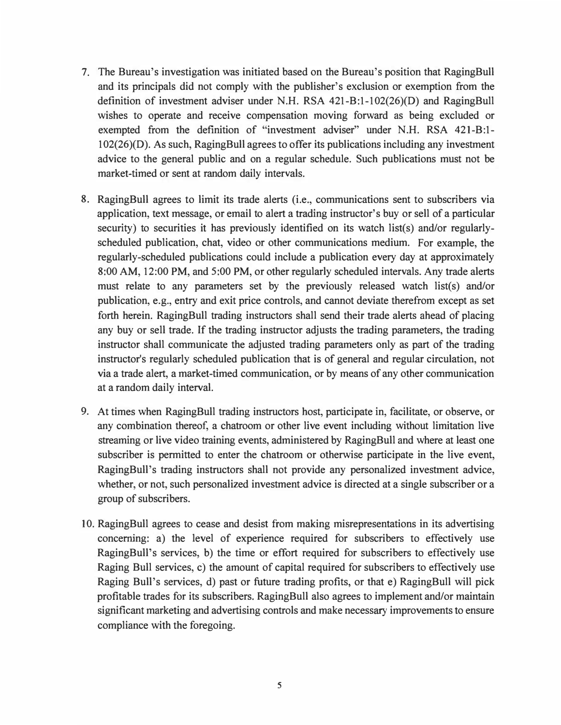- 7. The Bureau's investigation was initiated based on the Bureau's position that RagingBull and its principals did not comply with the publisher's exclusion or exemption from the definition of investment adviser under N.H. RSA 421-B:1-102(26)(D) and RagingBull wishes to operate and receive compensation moving forward as being excluded or exempted from the definition of "investment adviser" under N.H. RSA 421-B:1-102(26)(D). As such, RagingBull agrees to offer its publications including any investment advice to the general public and on a regular schedule. Such publications must not be market-timed or sent at random daily intervals.
- 8. RagingBull agrees to limit its trade alerts (i.e., communications sent to subscribers via application, text message, or email to alert a trading instructor's buy or sell of a particular security) to securities it has previously identified on its watch list(s) and/or regularlyscheduled publication, chat, video or other communications medium. For example, the regularly-scheduled publications could include a publication every day at approximately 8:00 AM, 12:00 PM, and 5:00 PM, or other regularly scheduled intervals. Any trade alerts must relate to any parameters set by the previously released watch list(s) and/or publication, e.g., entry and exit price controls, and cannot deviate therefrom except as set forth herein. RagingBull trading instructors shall send their trade alerts ahead of placing any buy or sell trade. If the trading instructor adjusts the trading parameters, the trading instructor shall communicate the adjusted trading parameters only as part of the trading instructor's regularly scheduled publication that is of general and regular circulation, not via a trade alert, a market-timed communication, or by means of any other communication at a random daily interval.
- 9. At times when RagingBull trading instructors host, participate in, facilitate, or observe, or any combination thereof, a chatroom or other live event including without limitation live streaming or live video training events, administered by RagingBull and where at least one subscriber is permitted to enter the chatroom or otherwise participate in the live event, RagingBull's trading instructors shall not provide any personalized investment advice, whether, or not, such personalized investment advice is directed at a single subscriber or a group of subscribers.
- 10. RagingBull agrees to cease and desist from making misrepresentations in its advertising concerning: a) the level of experience required for subscribers to effectively use RagingBull's services, b) the time or effort required for subscribers to effectively use Raging Bull services, c) the amount of capital required for subscribers to effectively use Raging Bull's services, d) past or future trading profits, or that e) RagingBull will pick profitable trades for its subscribers. RagingBull also agrees to implement and/or maintain significant marketing and advertising controls and make necessary improvements to ensure compliance with the foregoing.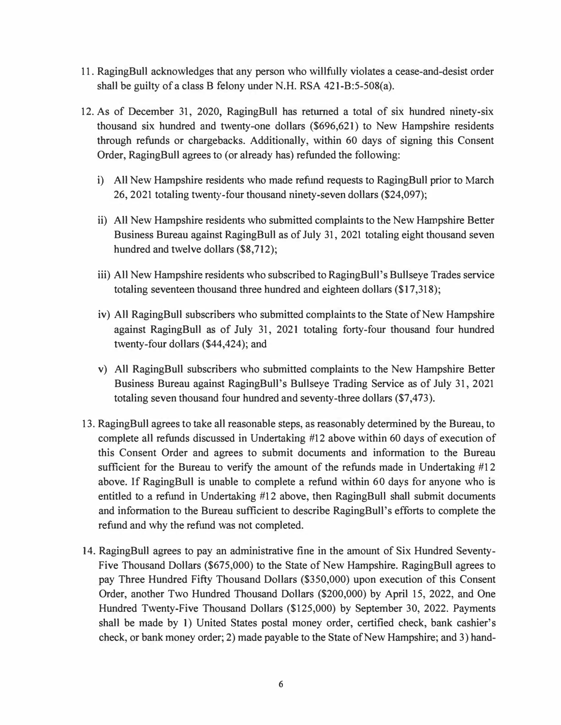- 11. RagingBull acknowledges that any person who willfully violates a cease-and-desist order shall be guilty of a class B felony under N.H. RSA 421-B:5-508(a).
- 12. As of December 31, 2020, RagingBull has returned a total of six hundred ninety-six thousand six hundred and twenty-one dollars (\$696,621) to New Hampshire residents through refunds or chargebacks. Additionally, within 60 days of signing this Consent Order, RagingBull agrees to (or already has) refunded the following:
	- i) All New Hampshire residents who made refund requests to RagingBull prior to March 26, 2021 totaling twenty-four thousand ninety-seven dollars (\$24,097);
	- ii) All New Hampshire residents who submitted complaints to the New Hampshire Better Business Bureau against RagingBull as of July 31, 2021 totaling eight thousand seven hundred and twelve dollars (\$8,712);
	- iii) All New Hampshire residents who subscribed to RagingBull's Bullseye Trades service totaling seventeen thousand three hundred and eighteen dollars (\$17,318);
	- iv) All RagingBull subscribers who submitted complaints to the State of New Hampshire against RagingBull as of July 31, 2021 totaling forty-four thousand four hundred twenty-four dollars (\$44,424); and
	- v) All RagingBull subscribers who submitted complaints to the New Hampshire Better Business Bureau against RagingBull's Bullseye Trading Service as of July 31, 2021 totaling seven thousand four hundred and seventy-three dollars (\$7,473).
- 13. RagingBull agrees to take all reasonable steps, as reasonably determined by the Bureau, to complete all refunds discussed in Undertaking #12 above within 60 days of execution of this Consent Order and agrees to submit documents and information to the Bureau sufficient for the Bureau to verify the amount of the refunds made in Undertaking #12 above. If RagingBull is unable to complete a refund within 60 days for anyone who is entitled to a refund in Undertaking #12 above, then RagingBull shall submit documents and information to the Bureau sufficient to describe RagingBull's efforts to complete the refund and why the refund was not completed.
- 14. RagingBull agrees to pay an administrative fine in the amount of Six Hundred Seventy-Five Thousand Dollars (\$675,000) to the State of New Hampshire. RagingBull agrees to pay Three Hundred Fifty Thousand Dollars (\$350,000) upon execution of this Consent Order, another Two Hundred Thousand Dollars (\$200,000) by April 15, 2022, and One Hundred Twenty-Five Thousand Dollars (\$125,000) by September 30, 2022. Payments shall be made by 1) United States postal money order, certified check, bank cashier's check, or bank money order; 2) made payable to the State of New Hampshire; and 3) hand-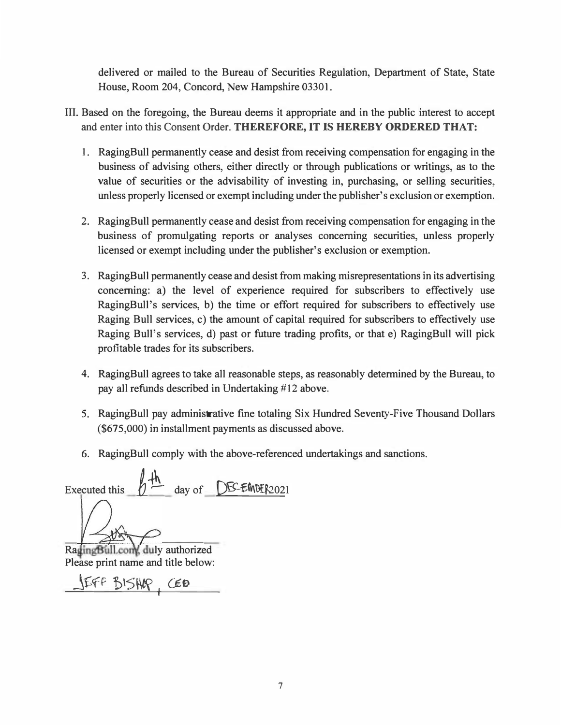delivered or mailed to the Bureau of Securities Regulation, Department of State, State House, Room **204,** Concord, New Hampshire **03301.** 

- Ill. Based on the foregoing, the Bureau deems it appropriate and in the public interest to accept and enter into this Consent Order. **THEREFORE, IT IS HEREBY ORDERED THAT:** 
	- 1. RagingBull permanently cease and desist from receiving compensation for engaging in the business of advising others, either directly or through publications or writings, as to the value of securities or the advisability of investing in, purchasing, or selling securities, unless properly licensed or exempt including under the publisher's exclusion or exemption.
	- 2. RagingBull permanently cease and desist from receiving compensation for engaging in the business of promulgating reports or analyses concerning securities, unless properly licensed or exempt including under the publisher's exclusion or exemption.
	- 3. RagingBull permanently cease and desist from making misrepresentations in its advertising concerning: a) the level of experience required for subscribers to effectively use RagingBull's services, b) the time or effort required for subscribers to effectively use Raging Bull services, c) the amount of capital required for subscribers to effectively use Raging Bull's services, d) past or future trading profits, or that e) RagingBull will pick profitable trades for its subscribers.
	- 4. RagingBull agrees to take all reasonable steps, as reasonably determined by the Bureau, to pay all refunds described in Undertaking #12 above.
	- 5. RagingBull pay administrative fine totaling Six Hundred Seventy-Five Thousand Dollars **(\$675,000)** in installment payments as discussed above.
	- 6. RagingBull comply with the above-referenced undertakings and sanctions.

Executed this  $h \stackrel{\text{4}}{\leftarrow}$  day of **DEC-EMPER2021** 

RagingBull.com, duly authorized Please print name and title below:

j£fF b\5\W I O=o